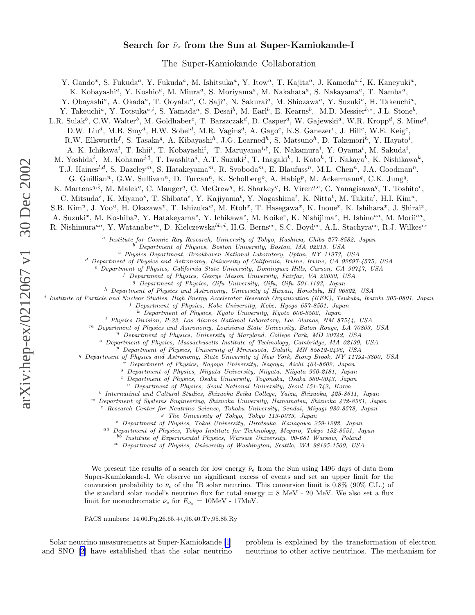## Search for  $\bar{\nu}_e$  from the Sun at Super-Kamiokande-I

The Super-Kamiokande Collaboration

Y. Gando<sup>x</sup>, S. Fukuda<sup>a</sup>, Y. Fukuda<sup>a</sup>, M. Ishitsuka<sup>a</sup>, Y. Itow<sup>a</sup>, T. Kajita<sup>a</sup>, J. Kameda<sup>a,i</sup>, K. Kaneyuki<sup>a</sup>,

K. Kobayashi<sup>a</sup>, Y. Koshio<sup>a</sup>, M. Miura<sup>a</sup>, S. Moriyama<sup>a</sup>, M. Nakahata<sup>a</sup>, S. Nakayama<sup>a</sup>, T. Namba<sup>a</sup>,

Y. Obayashi<sup>a</sup>, A. Okada<sup>a</sup>, T. Ooyabu<sup>a</sup>, C. Saji<sup>a</sup>, N. Sakurai<sup>a</sup>, M. Shiozawa<sup>a</sup>, Y. Suzuki<sup>a</sup>, H. Takeuchi<sup>a</sup>,

Y. Takeuchi<sup>a</sup>, Y. Totsuka<sup>a,i</sup>, S. Yamada<sup>a</sup>, S. Desai<sup>b</sup>, M. Earl<sup>b</sup>, E. Kearns<sup>b</sup>, M.D. Messier<sup>b,\*</sup>, J.L. Stone<sup>b</sup>,

L.R. Sulak<sup>b</sup>, C.W. Walter<sup>b</sup>, M. Goldhaber<sup>c</sup>, T. Barszczak<sup>d</sup>, D. Casper<sup>d</sup>, W. Gajewski<sup>d</sup>, W.R. Kropp<sup>d</sup>, S. Mine<sup>d</sup>,

D.W. Liu<sup>d</sup>, M.B. Smy<sup>d</sup>, H.W. Sobel<sup>d</sup>, M.R. Vagins<sup>d</sup>, A. Gago<sup>e</sup>, K.S. Ganezer<sup>e</sup>, J. Hill<sup>e</sup>, W.E. Keig<sup>e</sup>,

R.W. Ellsworth<sup>f</sup>, S. Tasaka<sup>g</sup>, A. Kibayashi<sup>h</sup>, J.G. Learned<sup>h</sup>, S. Matsuno<sup>h</sup>, D. Takemori<sup>h</sup>, Y. Hayato<sup>i</sup>,

A. K. Ichikawa<sup>i</sup>, T. Ishii<sup>i</sup>, T. Kobayashi<sup>i</sup>, T. Maruyama<sup>i,†</sup>, K. Nakamura<sup>i</sup>, Y. Oyama<sup>i</sup>, M. Sakuda<sup>i</sup>,

M. Yoshida<sup>i</sup>, M. Kohama<sup>j,‡</sup>, T. Iwashita<sup>j</sup>, A.T. Suzuki<sup>j</sup>, T. Inagaki<sup>k</sup>, I. Kato<sup>k</sup>, T. Nakaya<sup>k</sup>, K. Nishikawa<sup>k</sup>,

T.J. Haines<sup>l,d</sup>, S. Dazeley<sup>m</sup>, S. Hatakeyama<sup>m</sup>, R. Svoboda<sup>m</sup>, E. Blaufuss<sup>n</sup>, M.L. Chen<sup>n</sup>, J.A. Goodman<sup>n</sup>,

G. Guillian<sup>n</sup>, G.W. Sullivan<sup>n</sup>, D. Turcan<sup>n</sup>, K. Scholberg<sup>o</sup>, A. Habig<sup>p</sup>, M. Ackermann<sup>q</sup>, C.K. Jung<sup>q</sup>,

K. Martens<sup>q,§</sup>, M. Malek<sup>q</sup>, C. Mauger<sup>q</sup>, C. McGrew<sup>q</sup>, E. Sharkey<sup>q</sup>, B. Viren<sup>q,c</sup>, C. Yanagisawa<sup>q</sup>, T. Toshito<sup>r</sup>,

C. Mitsuda<sup>s</sup>, K. Miyano<sup>s</sup>, T. Shibata<sup>s</sup>, Y. Kajiyama<sup>t</sup>, Y. Nagashima<sup>t</sup>, K. Nitta<sup>t</sup>, M. Takita<sup>t</sup>, H.I. Kim<sup>u</sup>,

S.B. Kim<sup>u</sup>, J. Yoo<sup>u</sup>, H. Okazawa<sup>v</sup>, T. Ishizuka<sup>w</sup>, M. Etoh<sup>x</sup>, T. Hasegawa<sup>x</sup>, K. Inoue<sup>x</sup>, K. Ishihara<sup>x</sup>, J. Shirai<sup>x</sup>,

A. Suzuki<sup>x</sup>, M. Koshiba<sup>y</sup>, Y. Hatakeyama<sup>z</sup>, Y. Ichikawa<sup>z</sup>, M. Koike<sup>z</sup>, K. Nishijima<sup>z</sup>, H. Ishino<sup>aa</sup>, M. Morii<sup>aa</sup>,

R. Nishimura<sup>aa</sup>, Y. Watanabe<sup>aa</sup>, D. Kielczewska<sup>bb,d</sup>, H.G. Berns<sup>cc</sup>, S.C. Boyd<sup>cc</sup>, A.L. Stachyra<sup>cc</sup>, R.J. Wilkes<sup>cc</sup>

<sup>a</sup> Institute for Cosmic Ray Research, University of Tokyo, Kashiwa, Chiba 277-8582, Japan b Department of Physics, Boston University, Boston, MA 02215, USA

<sup>c</sup> Physics Department, Brookhaven National Laboratory, Upton, NY 11973, USA

<sup>d</sup> Department of Physics and Astronomy, University of California, Irvine, Irvine, CA 92697-4575, USA

<sup>e</sup> Department of Physics, California State University, Dominguez Hills, Carson, CA 90747, USA <sup>f</sup> Department of Physics, George Mason University, Fairfax, VA 22030, USA <sup>g</sup> Department of Physics, Gifu University, Gifu, Gifu 501-1193, Japan <sup>h</sup> Department of Physics and Astronomy, University of Hawaii, Honolulu, HI 96822, USA

i Institute of Particle and Nuclear Studies, High Energy Accelerator Research Organization (KEK), Tsukuba, Ibaraki 305-0801, Japan

 $j$  Department of Physics, Kobe University, Kobe, Hyogo 657-8501, Japan

<sup>k</sup> Department of Physics, Kyoto University, Kyoto 606-8502, Japan

<sup>l</sup> Physics Division, P-23, Los Alamos National Laboratory, Los Alamos, NM 87544, USA<br><sup>m</sup> Department of Physics and Astronomy, Louisiana State University, Baton Rouge, LA 70803, USA

 $\footnotesize \begin{array}{c} \text{$n$} \quad Department of Physics, University of Maryland, College Park, MD 20742, USA \\ \text{$o$} \quad Department of Physics, Massachusetts Institute of Technology, Cambridge, MA 02139, USA \\ \text{$p$} \quad Department of Physics, University of Minnesota, Duluth, MN 55812-2496, USA \\ \text{$q$} \quad Department of Physics and Astronomy, State University of New York, Stony Brook, NY 11794-3800, USA \\ \end{array}$ 

 $r$  Department of Physics, Nagoya University, Nagoya, Aichi 464-8602, Japan

<sup>s</sup> Department of Physics, Niigata University, Niigata, Niigata 950-2181, Japan

<sup>t</sup> Department of Physics, Osaka University, Toyonaka, Osaka 560-0043, Japan  $u$  Department of Physics, Seoul National University, Seoul 151-742, Korea

Internatinal and Cultural Studies, Shizuoka Seika College, Yaizu, Shizuoka, 425-8611, Japan

<sup>w</sup> Department of Systems Engineering, Shizuoka University, Hamamatsu, Shizuoka 432-8561, Japan<br><sup>x</sup> Research Center for Neutrino Science, Tohoku University, Sendai, Miyagi 980-8578, Japan<br><sup>y</sup> The University of Tokyo, Toky

<sup>z</sup> Department of Physics, Tokai University, Hiratsuka, Kanagawa 259-1292, Japan

aa Department of Physics, Tokyo Institute for Technology, Meguro, Tokyo 152-8551, Japan

bb Institute of Experimental Physics, Warsaw University, 00-681 Warsaw, Poland

cc Department of Physics, University of Washington, Seattle, WA 98195-1560, USA

We present the results of a search for low energy  $\bar{\nu}_e$  from the Sun using 1496 days of data from Super-Kamiokande-I. We observe no significant excess of events and set an upper limit for the conversion probability to  $\bar{\nu}_e$  of the <sup>8</sup>B solar neutrino. This conversion limit is 0.8% (90% C.L.) of the standard solar model's neutrino flux for total energy  $= 8 \text{ MeV}$  - 20 MeV. We also set a flux limit for monochromatic  $\bar{\nu}_e$  for  $E_{\bar{\nu}_e} = 10 \text{MeV}$  - 17MeV.

PACS numbers: 14.60.Pq,26.65.+t,96.40.Tv,95.85.Ry

Solar neutrino measurements at Super-Kamiokande [\[1](#page-4-0)] and SNO [[2\]](#page-4-0) have established that the solar neutrino problem is explained by the transformation of electron neutrinos to other active neutrinos. The mechanism for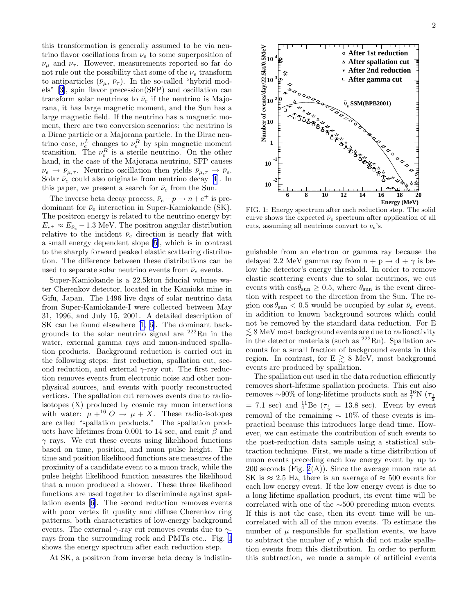this transformation is generally assumed to be via neutrino flavor oscillations from  $\nu_e$  to some superposition of  $\nu_{\mu}$  and  $\nu_{\tau}$ . However, measurements reported so far do not rule out the possibility that some of the  $\nu_e$  transform to antiparticles  $(\bar{\nu}_{\mu}, \bar{\nu}_{\tau})$ . In the so-called "hybrid models" [[3\]](#page-4-0), spin flavor precession(SFP) and oscillation can transform solar neutrinos to  $\bar{\nu}_e$  if the neutrino is Majorana, it has large magnetic moment, and the Sun has a large magnetic field. If the neutrino has a magnetic moment, there are two conversion scenarios: the neutrino is a Dirac particle or a Majorana particle. In the Dirac neutrino case,  $\nu_e^L$  changes to  $\nu_e^R$  by spin magnetic moment transition. The  $\nu_e^R$  is a sterile neutrino. On the other hand, in the case of the Majorana neutrino, SFP causes  $\nu_e \rightarrow \bar{\nu}_{\mu,\tau}$ . Neutrino oscillation then yields  $\bar{\nu}_{\mu,\tau} \rightarrow \bar{\nu}_e$ . Solar  $\bar{\nu}_e$  could also originate from neutrino decay [[4\]](#page-4-0). In this paper, we present a search for  $\bar{\nu}_e$  from the Sun.

The inverse beta decay process,  $\bar{\nu}_e + p \rightarrow n + e^+$  is predominant for  $\bar{\nu}_e$  interaction in Super-Kamiokande (SK). The positron energy is related to the neutrino energy by:  $E_{e^+} \approx E_{\bar{\nu}_e} - 1.3$  MeV. The positron angular distribution relative to the incident  $\bar{\nu}_e$  direction is nearly flat with a small energy dependent slope [\[5](#page-4-0)], which is in contrast to the sharply forward peaked elastic scattering distribution. The difference between these distributions can be used to separate solar neutrino events from  $\bar{\nu}_e$  events.

Super-Kamiokande is a 22.5kton fiducial volume water Cherenkov detector, located in the Kamioka mine in Gifu, Japan. The 1496 live days of solar neutrino data from Super-Kamiokande-I were collected between May 31, 1996, and July 15, 2001. A detailed description of SK can be found elsewhere [[1, 6\]](#page-4-0). The dominant backgrounds to the solar neutrino signal are <sup>222</sup>Rn in the water, external gamma rays and muon-induced spallation products. Background reduction is carried out in the following steps: first reduction, spallation cut, second reduction, and external  $\gamma$ -ray cut. The first reduction removes events from electronic noise and other nonphysical sources, and events with poorly reconstructed vertices. The spallation cut removes events due to radioisotopes (X) produced by cosmic ray muon interactions with water:  $\mu +^{16} O \rightarrow \mu + X$ . These radio-isotopes are called "spallation products." The spallation products have lifetimes from 0.001 to 14 sec, and emit  $\beta$  and  $\gamma$  rays. We cut these events using likelihood functions based on time, position, and muon pulse height. The time and position likelihood functions are measures of the proximity of a candidate event to a muon track, while the pulse height likelihood function measures the likelihood that a muon produced a shower. These three likelihood functions are used together to discriminate against spallation events [[6\]](#page-4-0). The second reduction removes events with poor vertex fit quality and diffuse Cherenkov ring patterns, both characteristics of low-energy background events. The external  $\gamma$ -ray cut removes events due to  $\gamma$ rays from the surrounding rock and PMTs etc.. Fig. 1 shows the energy spectrum after each reduction step.

At SK, a positron from inverse beta decay is indistin-



FIG. 1: Energy spectrum after each reduction step. The solid curve shows the expected  $\bar{\nu}_e$  spectrum after application of all cuts, assuming all neutrinos convert to  $\bar{\nu}_e$ 's.

guishable from an electron or gamma ray because the delayed 2.2 MeV gamma ray from  $n + p \rightarrow d + \gamma$  is below the detector's energy threshold. In order to remove elastic scattering events due to solar neutrinos, we cut events with  $\cos\theta_{\rm sun} \geq 0.5$ , where  $\theta_{\rm sun}$  is the event direction with respect to the direction from the Sun. The region  $\cos \theta_{\rm sun} < 0.5$  would be occupied by solar  $\bar{\nu}_e$  event, in addition to known background sources which could not be removed by the standard data reduction. For E  $\lesssim$  8 MeV most background events are due to radioactivity in the detector materials (such as  $222Rn$ ). Spallation accounts for a small fraction of background events in this region. In contrast, for  $E \geq 8$  MeV, most background events are produced by spallation.

The spallation cut used in the data reduction efficiently removes short-lifetime spallation products. This cut also removes ~90% of long-lifetime products such as  $^{16}_{7}N$  ( $\tau_{\frac{1}{2}}$ ) = 7.1 sec) and  $\frac{11}{4}$ Be ( $\tau_{\frac{1}{2}}$  = 13.8 sec). Event by event removal of the remaining  $\sim 10\%$  of these events is impractical because this introduces large dead time. However, we can estimate the contribution of such events to the post-reduction data sample using a statistical subtraction technique. First, we made a time distribution of muon events preceding each low energy event by up to 200 seconds (Fig.  $2(A)$ ). Since the average muon rate at SK is  $\approx 2.5$  Hz, there is an average of  $\approx 500$  events for each low energy event. If the low energy event is due to a long lifetime spallation product, its event time will be correlated with one of the ∼500 preceding muon events. If this is not the case, then its event time will be uncorrelated with all of the muon events. To estimate the number of  $\mu$  responsible for spallation events, we have to subtract the number of  $\mu$  which did not make spallation events from this distribution. In order to perform this subtraction, we made a sample of artificial events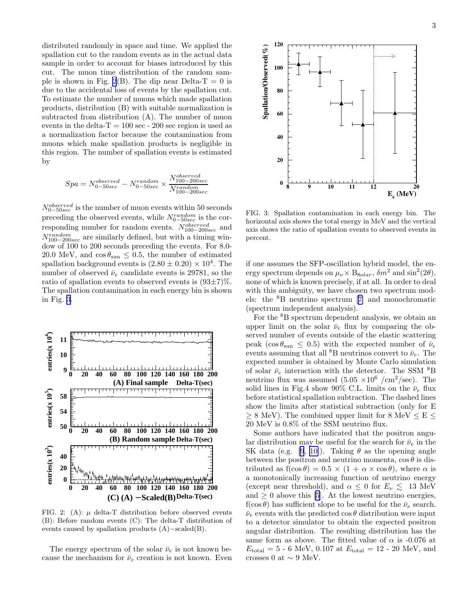<span id="page-2-0"></span>distributed randomly in space and time. We applied the spallation cut to the random events as in the actual data sample in order to account for biases introduced by this cut. The muon time distribution of the random sample is shown in Fig. 2(B). The dip near Delta-T = 0 is due to the accidental loss of events by the spallation cut. To estimate the number of muons which made spallation products, distribution (B) with suitable normalization is subtracted from distribution (A). The number of muon events in the delta- $T = 100$  sec - 200 sec region is used as a normalization factor because the contamination from muons which make spallation products is negligible in this region. The number of spallation events is estimated by

$$
Spa = N_{0-50sec}^{observed} - N_{0-50sec}^{random} \times \frac{N_{100-200sec}^{observed}}{N_{100-200sec}^{random}} \times \frac{N_{000-200sec}^{observed}}{N_{100-200sec}^{random}}
$$

 $N_{0-50sec}^{observed}$  is the number of muon events within 50 seconds preceding the observed events, while  $N_{0-50sec}^{random}$  is the corresponding number for random events.  $N_{100-200sec}^{observed}$  and  $N_{100-200sec}^{random}$  are similarly defined, but with a timing window of 100 to 200 seconds preceding the events. For 8.0- 20.0 MeV, and  $\cos \theta_{\rm sun} \leq 0.5$ , the number of estimated spallation background events is  $(2.80 \pm 0.20) \times 10^4$ . The number of observed  $\bar{\nu}_e$  candidate events is 29781, so the ratio of spallation events to observed events is  $(93\pm7)\%$ . The spallation contamination in each energy bin is shown in Fig. 3.



FIG. 2: (A):  $\mu$  delta-T distribution before observed events (B): Before random events (C): The delta-T distribution of events caused by spallation products (A)−scaled(B).

The energy spectrum of the solar  $\bar{\nu}_e$  is not known because the mechanism for  $\bar{\nu}_e$  creation is not known. Even



FIG. 3: Spallation contamination in each energy bin. The horizontal axis shows the total energy in MeV and the vertical axis shows the ratio of spallation events to observed events in percent.

if one assumes the SFP-oscillation hybrid model, the energy spectrum depends on  $\mu_{\nu} \times B_{\text{Solar}}$ ,  $\delta m^2$  and  $\sin^2(2\theta)$ , none of which is known precisely, if at all. In order to deal with this ambiguity, we have chosen two spectrum models: the <sup>8</sup>B neutrino spectrum [[7\]](#page-4-0) and monochromatic (spectrum independent analysis).

For the <sup>8</sup>B spectrum dependent analysis, we obtain an upper limit on the solar  $\bar{\nu}_e$  flux by comparing the observed number of events outside of the elastic scattering peak (cos  $\theta_{\rm sun} \leq 0.5$ ) with the expected number of  $\bar{\nu}_e$ events assuming that all <sup>8</sup>B neutrinos convert to  $\bar{\nu}_e$ . The expected number is obtained by Monte Carlo simulation of solar  $\bar{\nu}_e$  interaction with the detector. The SSM  ${}^{8}B$ neutrino flux was assumed  $(5.05 \times 10^6 / \text{cm}^2/\text{sec})$ . The solid lines in Fig.4 show 90% C.L. limits on the  $\bar{\nu}_e$  flux before statistical spallation subtraction. The dashed lines show the limits after statistical subtraction (only for E  $> 8$  MeV). The combined upper limit for 8 MeV  $\lt E \lt$ 20 MeV is 0.8% of the SSM neutrino flux.

Some authors have indicated that the positron angular distribution may be useful for the search for  $\bar{\nu}_e$  in the SK data (e.g. [\[9](#page-4-0), [10\]](#page-4-0)). Taking  $\theta$  as the opening angle between the positron and neutrino momenta,  $\cos \theta$  is distributed as  $f(\cos \theta) = 0.5 \times (1 + \alpha \times \cos \theta)$ , where  $\alpha$  is a monotonically increasing function of neutrino energy (except near threshold), and  $\alpha \leq 0$  for  $E_{\nu} \leq 13$  MeV and  $\geq 0$  above this [\[5](#page-4-0)]. At the lowest neutrino energies,  $f(\cos \theta)$  has sufficient slope to be useful for the  $\bar{\nu}_e$  search.  $\bar{\nu}_e$  events with the predicted cos  $\theta$  distribution were input to a detector simulator to obtain the expected positron angular distribution. The resulting distribution has the same form as above. The fitted value of  $\alpha$  is -0.076 at  $E_{\text{total}} = 5$  - 6 MeV, 0.107 at  $E_{\text{total}} = 12$  - 20 MeV, and crosses 0 at  $\sim$  9 MeV.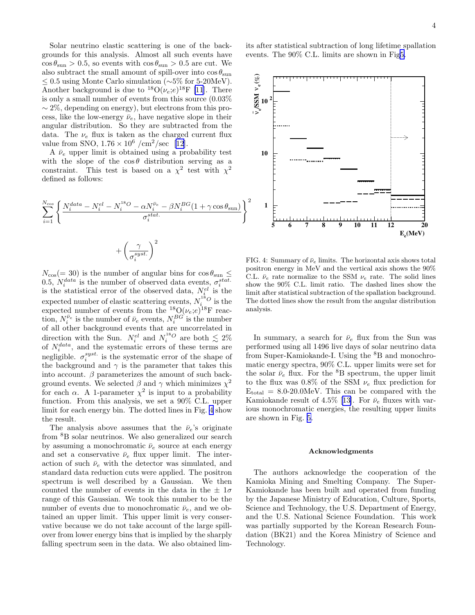Solar neutrino elastic scattering is one of the backgrounds for this analysis. Almost all such events have  $\cos \theta_{\rm sun} > 0.5$ , so events with  $\cos \theta_{\rm sun} > 0.5$  are cut. We also subtract the small amount of spill-over into  $\cos \theta_{\rm sun}$ ≤ 0.5 using Monte Carlo simulation (∼5% for 5-20MeV). Another background is due to  ${}^{18}O(\nu_e;e)^{18}$ F [\[11](#page-4-0)]. There is only a small number of events from this source  $(0.03\%$  $\sim$  2%, depending on energy), but electrons from this process, like the low-energy  $\bar{\nu}_e$ , have negative slope in their angular distribution. So they are subtracted from the data. The  $\nu_e$  flux is taken as the charged current flux value from SNO,  $1.76 \times 10^6$  /cm<sup>2</sup>/sec [\[12](#page-4-0)].

A  $\bar{\nu}_e$  upper limit is obtained using a probability test with the slope of the  $\cos \theta$  distribution serving as a constraint. This test is based on a  $\chi^2$  test with  $\chi^2$ defined as follows:

$$
\sum_{i=1}^{N_{\cos}} \left\{ \frac{N_i^{data} - N_i^{el} - N_i^{18} - \alpha N_i^{p_e} - \beta N_i^{BG} (1 + \gamma \cos \theta_{\text{sun}})}{\sigma_i^{stat.}} \right\}
$$

$$
+ \left( \frac{\gamma}{\frac{S_{\text{inst}}}{\sigma_{\text{sun}}} \right)^2
$$

 $\sigma^{syst.}_{i}$ 

 $N_{\text{cos}} (= 30)$  is the number of angular bins for  $\cos \theta_{\text{sun}} \leq$ 0.5,  $N_i^{data}$  is the number of observed data events,  $\sigma_i^{stat}$ . is the statistical error of the observed data,  $N_i^{el}$  is the i expected number of elastic scattering events,  $N_i^{^{18}O}$  is the expected number of events from the  ${}^{18}O(\nu_{e};e)^{18}$ F reac-<br>tion  $N^{\overline{\nu}e}$  is the number of  $\overline{\nu}$  events  $N^{BG}$  is the number tion,  $N_i^{\bar{\nu}_e}$  is the number of  $\bar{\nu}_e$  events,  $N_i^{BG}$  is the number from,  $N_i$  is the number of  $\nu_e$  events,  $N_i$  is the number<br>of all other background events that are uncorrelated in direction with the Sun.  $N_i^{el}$  and  $N_i^{^{18}O}$  are both  $\lesssim 2\%$ of  $N_i^{data}$ , and the systematic errors of these terms are negligible.  $\sigma_i^{syst.}$  is the systematic error of the shape of the background and  $\gamma$  is the parameter that takes this into account.  $\beta$  parameterizes the amount of such background events. We selected  $\beta$  and  $\gamma$  which minimizes  $\chi^2$ for each  $\alpha$ . A 1-parameter  $\chi^2$  is input to a probability function. From this analysis, we set a 90% C.L. upper limit for each energy bin. The dotted lines in Fig. 4 show the result.

The analysis above assumes that the  $\bar{\nu}_e$ 's originate from <sup>8</sup>B solar neutrinos. We also generalized our search by assuming a monochromatic  $\bar{\nu}_e$  source at each energy and set a conservative  $\bar{\nu}_e$  flux upper limit. The interaction of such  $\bar{\nu}_e$  with the detector was simulated, and standard data reduction cuts were applied. The positron spectrum is well described by a Gaussian. We then counted the number of events in the data in the  $\pm 1\sigma$ range of this Gaussian. We took this number to be the number of events due to monochromatic  $\bar{\nu}_e$ , and we obtained an upper limit. This upper limit is very conservative because we do not take account of the large spillover from lower energy bins that is implied by the sharply falling spectrum seen in the data. We also obtained limits after statistical subtraction of long lifetime spallation events. The 90% C.L. limits are shown in Fig[5.](#page-4-0)



FIG. 4: Summary of  $\bar{\nu}_e$  limits. The horizontal axis shows total positron energy in MeV and the vertical axis shows the 90% C.L.  $\bar{\nu}_e$  rate normalize to the SSM  $\nu_e$  rate. The solid lines show the 90% C.L. limit ratio. The dashed lines show the limit after statistical subtraction of the spallation background. The dotted lines show the result from the angular distribution analysis.

In summary, a search for  $\bar{\nu}_e$  flux from the Sun was performed using all 1496 live days of solar neutrino data from Super-Kamiokande-I. Using the <sup>8</sup>B and monochromatic energy spectra, 90% C.L. upper limits were set for the solar  $\bar{\nu}_e$  flux. For the <sup>8</sup>B spectrum, the upper limit to the flux was  $0.8\%$  of the SSM  $\nu_e$  flux prediction for  $E_{total} = 8.0{\text -}20.0$ MeV. This can be compared with the Kamiokande result of 4.5% [[13\]](#page-4-0). For  $\bar{\nu}_e$  fluxes with various monochromatic energies, the resulting upper limits are shown in Fig. [5.](#page-4-0)

## Acknowledgments

The authors acknowledge the cooperation of the Kamioka Mining and Smelting Company. The Super-Kamiokande has been built and operated from funding by the Japanese Ministry of Education, Culture, Sports, Science and Technology, the U.S. Department of Energy, and the U.S. National Science Foundation. This work was partially supported by the Korean Research Foundation (BK21) and the Korea Ministry of Science and Technology.